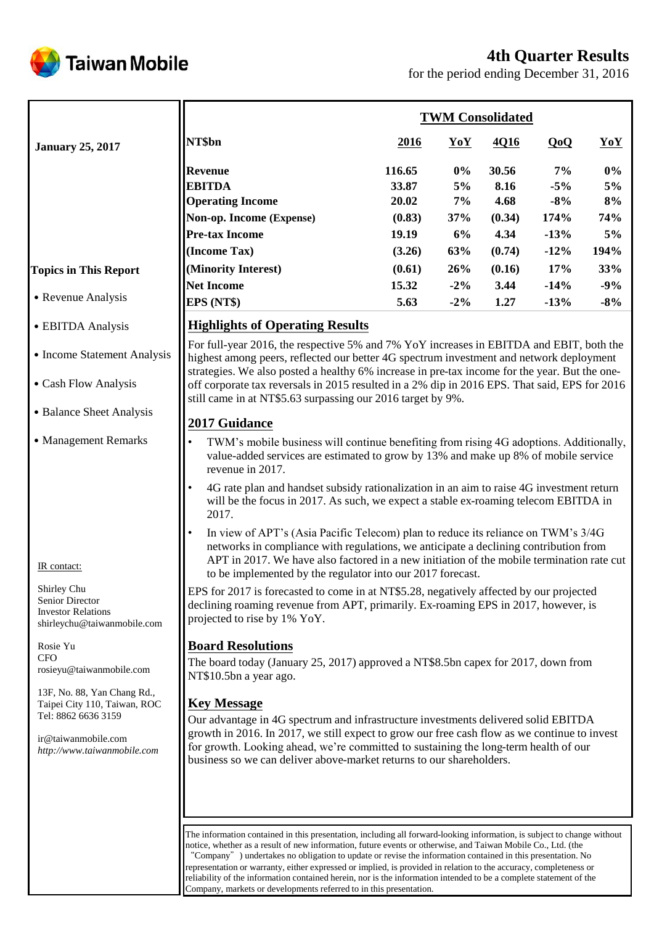# **4th Quarter Results**



for the period ending December 31, 2016

|                                                                                                                                                                                                                                                                                                                                     | <b>TWM Consolidated</b>                                                                                                                                                                                                                                                                                                                                                                                                                                                                                                                                                                                                                                                                                                                                                                                                                                                                                                                                                                                                                                                                                                                                                                                                                                                                                                                                                                                                                                                                       |                                                                 |                                              |                                                             |                                                         |                                               |
|-------------------------------------------------------------------------------------------------------------------------------------------------------------------------------------------------------------------------------------------------------------------------------------------------------------------------------------|-----------------------------------------------------------------------------------------------------------------------------------------------------------------------------------------------------------------------------------------------------------------------------------------------------------------------------------------------------------------------------------------------------------------------------------------------------------------------------------------------------------------------------------------------------------------------------------------------------------------------------------------------------------------------------------------------------------------------------------------------------------------------------------------------------------------------------------------------------------------------------------------------------------------------------------------------------------------------------------------------------------------------------------------------------------------------------------------------------------------------------------------------------------------------------------------------------------------------------------------------------------------------------------------------------------------------------------------------------------------------------------------------------------------------------------------------------------------------------------------------|-----------------------------------------------------------------|----------------------------------------------|-------------------------------------------------------------|---------------------------------------------------------|-----------------------------------------------|
| <b>January 25, 2017</b>                                                                                                                                                                                                                                                                                                             | NT\$bn                                                                                                                                                                                                                                                                                                                                                                                                                                                                                                                                                                                                                                                                                                                                                                                                                                                                                                                                                                                                                                                                                                                                                                                                                                                                                                                                                                                                                                                                                        | <u>2016</u>                                                     | YoY                                          | 4Q16                                                        | QoQ                                                     | YoY                                           |
| <b>Topics in This Report</b>                                                                                                                                                                                                                                                                                                        | Revenue<br><b>EBITDA</b><br><b>Operating Income</b><br>Non-op. Income (Expense)<br><b>Pre-tax Income</b><br>(Income Tax)<br>(Minority Interest)                                                                                                                                                                                                                                                                                                                                                                                                                                                                                                                                                                                                                                                                                                                                                                                                                                                                                                                                                                                                                                                                                                                                                                                                                                                                                                                                               | 116.65<br>33.87<br>20.02<br>(0.83)<br>19.19<br>(3.26)<br>(0.61) | $0\%$<br>5%<br>7%<br>37%<br>6%<br>63%<br>26% | 30.56<br>8.16<br>4.68<br>(0.34)<br>4.34<br>(0.74)<br>(0.16) | 7%<br>$-5%$<br>$-8%$<br>174%<br>$-13%$<br>$-12%$<br>17% | $0\%$<br>5%<br>8%<br>74%<br>5%<br>194%<br>33% |
| • Revenue Analysis                                                                                                                                                                                                                                                                                                                  | <b>Net Income</b><br>EPS (NT\$)                                                                                                                                                                                                                                                                                                                                                                                                                                                                                                                                                                                                                                                                                                                                                                                                                                                                                                                                                                                                                                                                                                                                                                                                                                                                                                                                                                                                                                                               | 15.32<br>5.63                                                   | $-2\%$<br>$-2\%$                             | 3.44<br>1.27                                                | $-14%$<br>$-13%$                                        | $-9%$<br>$-8%$                                |
| • EBITDA Analysis                                                                                                                                                                                                                                                                                                                   | <b>Highlights of Operating Results</b>                                                                                                                                                                                                                                                                                                                                                                                                                                                                                                                                                                                                                                                                                                                                                                                                                                                                                                                                                                                                                                                                                                                                                                                                                                                                                                                                                                                                                                                        |                                                                 |                                              |                                                             |                                                         |                                               |
| • Income Statement Analysis                                                                                                                                                                                                                                                                                                         | For full-year 2016, the respective 5% and 7% YoY increases in EBITDA and EBIT, both the<br>highest among peers, reflected our better 4G spectrum investment and network deployment<br>strategies. We also posted a healthy 6% increase in pre-tax income for the year. But the one-                                                                                                                                                                                                                                                                                                                                                                                                                                                                                                                                                                                                                                                                                                                                                                                                                                                                                                                                                                                                                                                                                                                                                                                                           |                                                                 |                                              |                                                             |                                                         |                                               |
| • Cash Flow Analysis                                                                                                                                                                                                                                                                                                                | off corporate tax reversals in 2015 resulted in a 2% dip in 2016 EPS. That said, EPS for 2016<br>still came in at NT\$5.63 surpassing our 2016 target by 9%.                                                                                                                                                                                                                                                                                                                                                                                                                                                                                                                                                                                                                                                                                                                                                                                                                                                                                                                                                                                                                                                                                                                                                                                                                                                                                                                                  |                                                                 |                                              |                                                             |                                                         |                                               |
| • Balance Sheet Analysis                                                                                                                                                                                                                                                                                                            |                                                                                                                                                                                                                                                                                                                                                                                                                                                                                                                                                                                                                                                                                                                                                                                                                                                                                                                                                                                                                                                                                                                                                                                                                                                                                                                                                                                                                                                                                               |                                                                 |                                              |                                                             |                                                         |                                               |
| • Management Remarks<br>IR contact:<br>Shirley Chu<br>Senior Director<br><b>Investor Relations</b><br>shirleychu@taiwanmobile.com<br>Rosie Yu<br><b>CFO</b><br>rosieyu@taiwanmobile.com<br>13F, No. 88, Yan Chang Rd.,<br>Taipei City 110, Taiwan, ROC<br>Tel: 8862 6636 3159<br>ir@taiwanmobile.com<br>http://www.taiwanmobile.com | 2017 Guidance<br>TWM's mobile business will continue benefiting from rising 4G adoptions. Additionally,<br>value-added services are estimated to grow by 13% and make up 8% of mobile service<br>revenue in 2017.<br>4G rate plan and handset subsidy rationalization in an aim to raise 4G investment return<br>will be the focus in 2017. As such, we expect a stable ex-roaming telecom EBITDA in<br>2017.<br>In view of APT's (Asia Pacific Telecom) plan to reduce its reliance on TWM's 3/4G<br>networks in compliance with regulations, we anticipate a declining contribution from<br>APT in 2017. We have also factored in a new initiation of the mobile termination rate cut<br>to be implemented by the regulator into our 2017 forecast.<br>EPS for 2017 is forecasted to come in at NT\$5.28, negatively affected by our projected<br>declining roaming revenue from APT, primarily. Ex-roaming EPS in 2017, however, is<br>projected to rise by 1% YoY.<br><b>Board Resolutions</b><br>The board today (January 25, 2017) approved a NT\$8.5bn capex for 2017, down from<br>NT\$10.5bn a year ago.<br><b>Key Message</b><br>Our advantage in 4G spectrum and infrastructure investments delivered solid EBITDA<br>growth in 2016. In 2017, we still expect to grow our free cash flow as we continue to invest<br>for growth. Looking ahead, we're committed to sustaining the long-term health of our<br>business so we can deliver above-market returns to our shareholders. |                                                                 |                                              |                                                             |                                                         |                                               |
|                                                                                                                                                                                                                                                                                                                                     | The information contained in this presentation, including all forward-looking information, is subject to change without<br>notice, whether as a result of new information, future events or otherwise, and Taiwan Mobile Co., Ltd. (the                                                                                                                                                                                                                                                                                                                                                                                                                                                                                                                                                                                                                                                                                                                                                                                                                                                                                                                                                                                                                                                                                                                                                                                                                                                       |                                                                 |                                              |                                                             |                                                         |                                               |

notice, whether as a result of new information, future events or otherwise, and Taiwan Mobile Co., Ltd. (the "Company") undertakes no obligation to update or revise the information contained in this presentation. No representation or warranty, either expressed or implied, is provided in relation to the accuracy, completeness or reliability of the information contained herein, nor is the information intended to be a complete statement of the Company, markets or developments referred to in this presentation.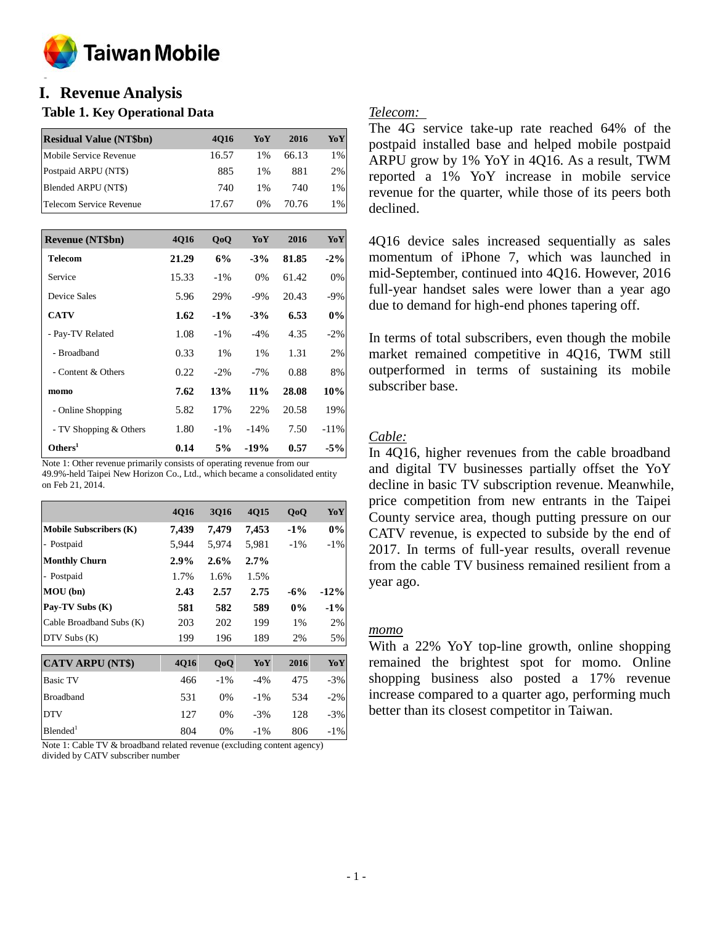

#### **o I. Revenue Analysis**

#### **Table 1. Key Operational Data**

| <b>Residual Value (NT\$bn)</b> | 4016  | YoY   | 2016  | YoY   |
|--------------------------------|-------|-------|-------|-------|
| Mobile Service Revenue         | 16.57 | 1%    | 66.13 | 1%    |
| Postpaid ARPU (NT\$)           | 885   | 1%    | 881   | 2%    |
| Blended ARPU (NT\$)            | 740   | $1\%$ | 740   | 1%    |
| Telecom Service Revenue        | 17.67 | $0\%$ | 70.76 | $1\%$ |

| <b>Revenue (NT\$bn)</b> | 4016  | QoQ    | YoY    | 2016  | YoY     |
|-------------------------|-------|--------|--------|-------|---------|
| Telecom                 | 21.29 | 6%     | $-3\%$ | 81.85 | $-2\%$  |
| Service                 | 15.33 | $-1\%$ | $0\%$  | 61.42 | 0%      |
| Device Sales            | 5.96  | 29%    | $-9%$  | 20.43 | -9%     |
| <b>CATV</b>             | 1.62  | $-1\%$ | $-3\%$ | 6.53  | 0%      |
| - Pay-TV Related        | 1.08  | $-1\%$ | $-4%$  | 4.35  | $-2\%$  |
| - Broadband             | 0.33  | 1%     | $1\%$  | 1.31  | 2%      |
| - Content & Others      | 0.22  | $-2\%$ | $-7\%$ | 0.88  | 8%      |
| momo                    | 7.62  | 13%    | $11\%$ | 28.08 | 10%     |
| - Online Shopping       | 5.82  | 17%    | 22%    | 20.58 | 19%     |
| - TV Shopping & Others  | 1.80  | $-1\%$ | $-14%$ | 7.50  | $-11\%$ |
| Others <sup>1</sup>     | 0.14  | 5%     | $-19%$ | 0.57  | $-5%$   |

Note 1: Other revenue primarily consists of operating revenue from our 49.9%-held Taipei New Horizon Co., Ltd., which became a consolidated entity on Feb 21, 2014.

|                               | 4Q16        | <b>3Q16</b> | 4Q15    | QoQ    | YoY    |
|-------------------------------|-------------|-------------|---------|--------|--------|
| <b>Mobile Subscribers (K)</b> | 7,439       | 7,479       | 7,453   | $-1\%$ | 0%     |
| - Postpaid                    | 5,944       | 5,974       | 5,981   | $-1\%$ | $-1\%$ |
| <b>Monthly Churn</b>          | $2.9\%$     | 2.6%        | $2.7\%$ |        |        |
| - Postpaid                    | 1.7%        | 1.6%        | 1.5%    |        |        |
| MOU (bn)                      | 2.43        | 2.57        | 2.75    | $-6%$  | $-12%$ |
| Pay-TV Subs (K)               | 581         | 582         | 589     | $0\%$  | $-1\%$ |
| Cable Broadband Subs (K)      | 203         | 202         | 199     | 1%     | 2%     |
| DTV Subs (K)                  | 199         | 196         | 189     | 2%     | 5%     |
|                               |             |             |         |        |        |
| <b>CATV ARPU (NT\$)</b>       | <b>4Q16</b> | QoQ         | YoY     | 2016   | YoY    |
| <b>Basic TV</b>               | 466         | $-1\%$      | $-4%$   | 475    | $-3\%$ |
| <b>Broadband</b>              | 531         | 0%          | $-1\%$  | 534    | $-2\%$ |
| <b>DTV</b>                    | 127         | $0\%$       | $-3\%$  | 128    | $-3\%$ |
| Blended <sup>1</sup>          | 804         | 0%          | $-1\%$  | 806    | $-1\%$ |

Note 1: Cable TV & broadband related revenue (excluding content agency) divided by CATV subscriber number

#### *Telecom:*

The 4G service take-up rate reached 64% of the postpaid installed base and helped mobile postpaid ARPU grow by 1% YoY in 4Q16. As a result, TWM reported a 1% YoY increase in mobile service revenue for the quarter, while those of its peers both declined.

4Q16 device sales increased sequentially as sales momentum of iPhone 7, which was launched in mid-September, continued into 4Q16. However, 2016 full-year handset sales were lower than a year ago due to demand for high-end phones tapering off.

In terms of total subscribers, even though the mobile market remained competitive in 4Q16, TWM still outperformed in terms of sustaining its mobile subscriber base.

#### *Cable:*

In 4Q16, higher revenues from the cable broadband and digital TV businesses partially offset the YoY decline in basic TV subscription revenue. Meanwhile, price competition from new entrants in the Taipei County service area, though putting pressure on our CATV revenue, is expected to subside by the end of 2017. In terms of full-year results, overall revenue from the cable TV business remained resilient from a year ago.

#### *momo*

With a 22% YoY top-line growth, online shopping remained the brightest spot for momo. Online shopping business also posted a 17% revenue increase compared to a quarter ago, performing much better than its closest competitor in Taiwan.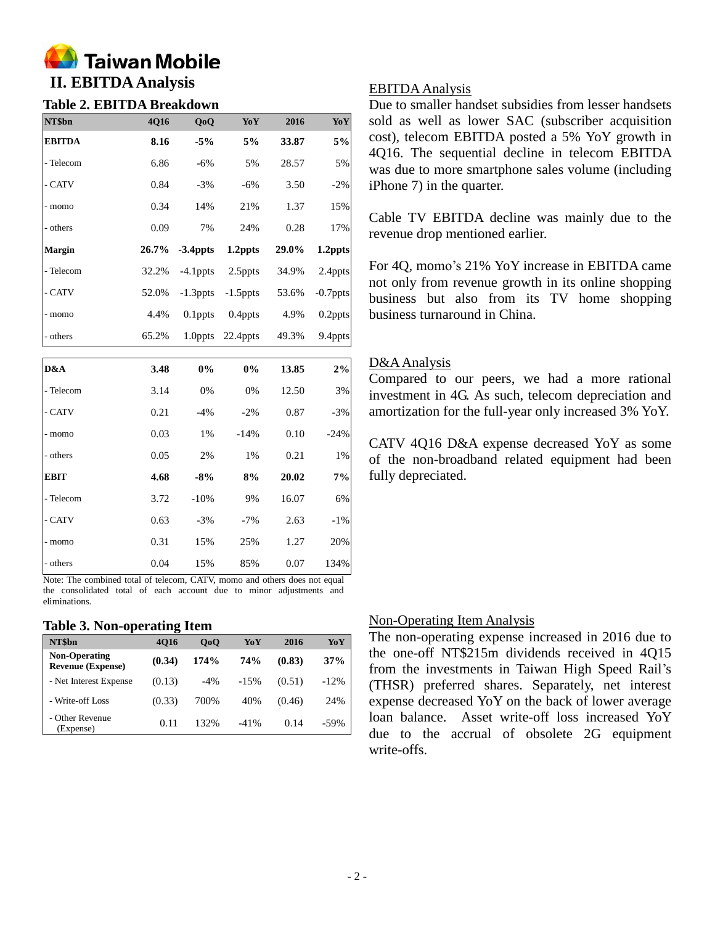

# **Table 2. EBITDA Breakdown**

| NT\$bn        | 4Q16  | QoQ         | YoY         | 2016  | YoY         |
|---------------|-------|-------------|-------------|-------|-------------|
| <b>EBITDA</b> | 8.16  | $-5%$       | 5%          | 33.87 | 5%          |
| - Telecom     | 6.86  | $-6%$       | 5%          | 28.57 | 5%          |
| - CATV        | 0.84  | $-3\%$      | $-6%$       | 3.50  | $-2%$       |
| - momo        | 0.34  | 14%         | 21%         | 1.37  | 15%         |
| - others      | 0.09  | 7%          | 24%         | 0.28  | 17%         |
| Margin        | 26.7% | $-3.4$ ppts | 1.2ppts     | 29.0% | 1.2ppts     |
| - Telecom     | 32.2% | $-4.1$ ppts | 2.5ppts     | 34.9% | 2.4ppts     |
| - CATV        | 52.0% | $-1.3$ ppts | $-1.5$ ppts | 53.6% | $-0.7$ ppts |
| - momo        | 4.4%  | $0.1$ ppts  | 0.4ppts     | 4.9%  | $0.2$ ppts  |
| - others      | 65.2% | 1.0ppts     | 22.4ppts    | 49.3% | 9.4ppts     |
| D&A           | 3.48  | 0%          | 0%          | 13.85 | 2%          |

| - Telecom   | 3.14 | 0%     | 0%     | 12.50 | 3%     |
|-------------|------|--------|--------|-------|--------|
| - CATV      | 0.21 | $-4%$  | $-2%$  | 0.87  | $-3%$  |
| - momo      | 0.03 | $1\%$  | $-14%$ | 0.10  | $-24%$ |
| - others    | 0.05 | 2%     | 1%     | 0.21  | 1%     |
| <b>EBIT</b> | 4.68 | $-8%$  | 8%     | 20.02 | 7%     |
| - Telecom   | 3.72 | $-10%$ | 9%     | 16.07 | 6%     |
| - CATV      | 0.63 | $-3%$  | $-7%$  | 2.63  | $-1\%$ |
| - momo      | 0.31 | 15%    | 25%    | 1.27  | 20%    |
| - others    | 0.04 | 15%    | 85%    | 0.07  | 134%   |

Note: The combined total of telecom, CATV, momo and others does not equal the consolidated total of each account due to minor adjustments and eliminations.

#### **Table 3. Non-operating Item**

| NT\$bn                                           | 4016   | 0 <sub>0</sub> | YoY    | 2016   | YoY    |
|--------------------------------------------------|--------|----------------|--------|--------|--------|
| <b>Non-Operating</b><br><b>Revenue (Expense)</b> | (0.34) | 174%           | 74%    | (0.83) | 37%    |
| - Net Interest Expense                           | (0.13) | $-4\%$         | $-15%$ | (0.51) | $-12%$ |
| - Write-off Loss                                 | (0.33) | 700%           | 40%    | (0.46) | 24%    |
| - Other Revenue<br>(Expense)                     | 0.11   | 132%           | $-41%$ | 0.14   | $-59%$ |

#### EBITDA Analysis

Due to smaller handset subsidies from lesser handsets sold as well as lower SAC (subscriber acquisition cost), telecom EBITDA posted a 5% YoY growth in 4Q16. The sequential decline in telecom EBITDA was due to more smartphone sales volume (including iPhone 7) in the quarter.

Cable TV EBITDA decline was mainly due to the revenue drop mentioned earlier.

For 4Q, momo's 21% YoY increase in EBITDA came not only from revenue growth in its online shopping business but also from its TV home shopping business turnaround in China.

#### D&AAnalysis

Compared to our peers, we had a more rational investment in 4G. As such, telecom depreciation and amortization for the full-year only increased 3% YoY.

CATV 4Q16 D&A expense decreased YoY as some of the non-broadband related equipment had been fully depreciated.

#### Non-Operating Item Analysis

The non-operating expense increased in 2016 due to the one-off NT\$215m dividends received in 4Q15 from the investments in Taiwan High Speed Rail's (THSR) preferred shares. Separately, net interest expense decreased YoY on the back of lower average loan balance. Asset write-off loss increased YoY due to the accrual of obsolete 2G equipment write-offs.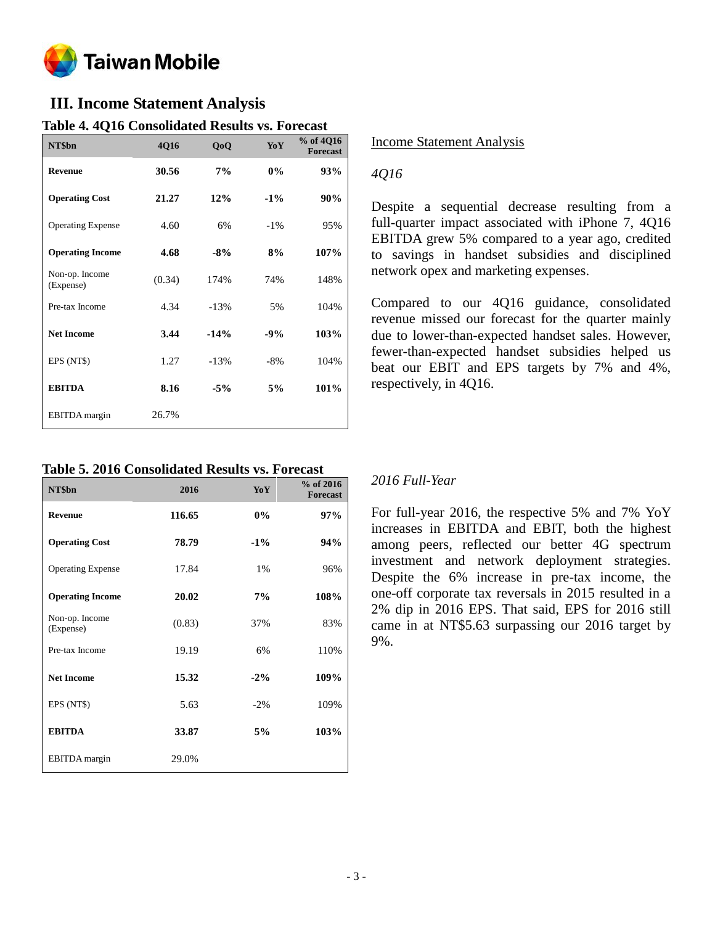

## **III. Income Statement Analysis**

| NT\$bn                      | 4Q16   | QoQ    | YoY    | % of 4Q16<br><b>Forecast</b> |
|-----------------------------|--------|--------|--------|------------------------------|
| <b>Revenue</b>              | 30.56  | 7%     | $0\%$  | 93%                          |
| <b>Operating Cost</b>       | 21.27  | 12%    | $-1\%$ | 90%                          |
| <b>Operating Expense</b>    | 4.60   | 6%     | $-1\%$ | 95%                          |
| <b>Operating Income</b>     | 4.68   | $-8%$  | 8%     | 107%                         |
| Non-op. Income<br>(Expense) | (0.34) | 174%   | 74%    | 148%                         |
| Pre-tax Income              | 4.34   | $-13%$ | 5%     | 104%                         |
| <b>Net Income</b>           | 3.44   | $-14%$ | $-9%$  | 103%                         |
| EPS (NT\$)                  | 1.27   | $-13%$ | $-8%$  | 104%                         |
| <b>EBITDA</b>               | 8.16   | $-5%$  | 5%     | 101%                         |
| <b>EBITDA</b> margin        | 26.7%  |        |        |                              |

### **Table 4. 4Q16 Consolidated Results vs. Forecast**

**Table 5. 2016 Consolidated Results vs. Forecast**

| NT\$bn                      | 2016   | YoY    | % of 2016<br><b>Forecast</b> |
|-----------------------------|--------|--------|------------------------------|
| <b>Revenue</b>              | 116.65 | 0%     | 97%                          |
| <b>Operating Cost</b>       | 78.79  | $-1\%$ | 94%                          |
| <b>Operating Expense</b>    | 17.84  | 1%     | 96%                          |
| <b>Operating Income</b>     | 20.02  | 7%     | 108%                         |
| Non-op. Income<br>(Expense) | (0.83) | 37%    | 83%                          |
| Pre-tax Income              | 19.19  | 6%     | 110%                         |
| <b>Net Income</b>           | 15.32  | $-2\%$ | 109%                         |
| EPS (NT\$)                  | 5.63   | $-2\%$ | 109%                         |
| <b>EBITDA</b>               | 33.87  | 5%     | 103%                         |
| EBITDA margin               | 29.0%  |        |                              |

#### Income Statement Analysis

#### *4Q16*

Despite a sequential decrease resulting from a full-quarter impact associated with iPhone 7, 4Q16 EBITDA grew 5% compared to a year ago, credited to savings in handset subsidies and disciplined network opex and marketing expenses.

Compared to our 4Q16 guidance, consolidated revenue missed our forecast for the quarter mainly due to lower-than-expected handset sales. However, fewer-than-expected handset subsidies helped us beat our EBIT and EPS targets by 7% and 4%, respectively, in 4Q16.

### *2016 Full-Year*

For full-year 2016, the respective 5% and 7% YoY increases in EBITDA and EBIT, both the highest among peers, reflected our better 4G spectrum investment and network deployment strategies. Despite the 6% increase in pre-tax income, the one-off corporate tax reversals in 2015 resulted in a 2% dip in 2016 EPS. That said, EPS for 2016 still came in at NT\$5.63 surpassing our 2016 target by 9%.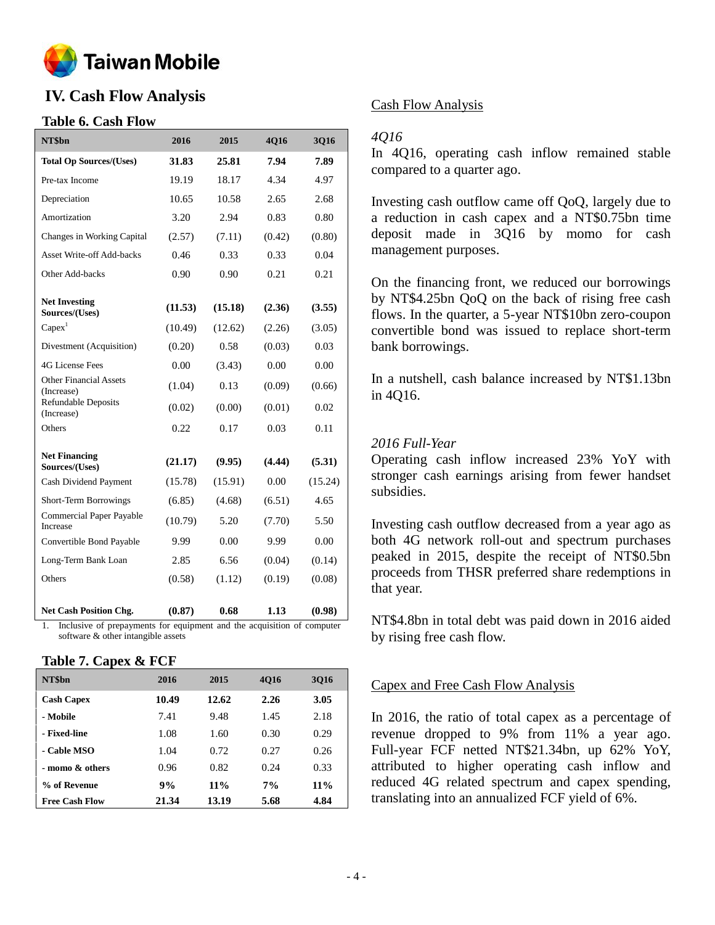

## **IV. Cash Flow Analysis**

#### **Table 6. Cash Flow**

| NT\$bn                                      | 2016    | 2015    | 4Q16   | 3Q16    |
|---------------------------------------------|---------|---------|--------|---------|
| <b>Total Op Sources/(Uses)</b>              | 31.83   | 25.81   | 7.94   | 7.89    |
| Pre-tax Income                              | 19.19   | 18.17   | 4.34   | 4.97    |
| Depreciation                                | 10.65   | 10.58   | 2.65   | 2.68    |
| Amortization                                | 3.20    | 2.94    | 0.83   | 0.80    |
| Changes in Working Capital                  | (2.57)  | (7.11)  | (0.42) | (0.80)  |
| <b>Asset Write-off Add-backs</b>            | 0.46    | 0.33    | 0.33   | 0.04    |
| Other Add-backs                             | 0.90    | 0.90    | 0.21   | 0.21    |
| <b>Net Investing</b><br>Sources/(Uses)      | (11.53) | (15.18) | (2.36) | (3.55)  |
| $Capex$ <sup>1</sup>                        | (10.49) | (12.62) | (2.26) | (3.05)  |
| Divestment (Acquisition)                    | (0.20)  | 0.58    | (0.03) | 0.03    |
| 4G License Fees                             | 0.00    | (3.43)  | 0.00   | 0.00    |
| <b>Other Financial Assets</b><br>(Increase) | (1.04)  | 0.13    | (0.09) | (0.66)  |
| Refundable Deposits<br>(Increase)           | (0.02)  | (0.00)  | (0.01) | 0.02    |
| Others                                      | 0.22    | 0.17    | 0.03   | 0.11    |
| <b>Net Financing</b><br>Sources/(Uses)      | (21.17) | (9.95)  | (4.44) | (5.31)  |
| Cash Dividend Payment                       | (15.78) | (15.91) | 0.00   | (15.24) |
| Short-Term Borrowings                       | (6.85)  | (4.68)  | (6.51) | 4.65    |
| Commercial Paper Payable<br>Increase        | (10.79) | 5.20    | (7.70) | 5.50    |
| Convertible Bond Payable                    | 9.99    | 0.00    | 9.99   | 0.00    |
| Long-Term Bank Loan                         | 2.85    | 6.56    | (0.04) | (0.14)  |
| Others                                      | (0.58)  | (1.12)  | (0.19) | (0.08)  |
| <b>Net Cash Position Chg.</b>               | (0.87)  | 0.68    | 1.13   | (0.98)  |

1. Inclusive of prepayments for equipment and the acquisition of computer software & other intangible assets

#### **Table 7. Capex & FCF**

| NT\$bn                | 2016  | 2015   | 4016 | 3016   |
|-----------------------|-------|--------|------|--------|
| <b>Cash Capex</b>     | 10.49 | 12.62  | 2.26 | 3.05   |
| - Mobile              | 7.41  | 9.48   | 1.45 | 2.18   |
| - Fixed-line          | 1.08  | 1.60   | 0.30 | 0.29   |
| - Cable MSO           | 1.04  | 0.72   | 0.27 | 0.26   |
| - momo $\&$ others    | 0.96  | 0.82   | 0.24 | 0.33   |
| % of Revenue          | 9%    | $11\%$ | 7%   | $11\%$ |
| <b>Free Cash Flow</b> | 21.34 | 13.19  | 5.68 | 4.84   |

#### Cash Flow Analysis

#### *4Q16*

In 4Q16, operating cash inflow remained stable compared to a quarter ago.

Investing cash outflow came off QoQ, largely due to a reduction in cash capex and a NT\$0.75bn time deposit made in 3Q16 by momo for cash management purposes.

On the financing front, we reduced our borrowings by NT\$4.25bn QoQ on the back of rising free cash flows. In the quarter, a 5-year NT\$10bn zero-coupon convertible bond was issued to replace short-term bank borrowings.

In a nutshell, cash balance increased by NT\$1.13bn in 4Q16.

#### *2016 Full-Year*

Operating cash inflow increased 23% YoY with stronger cash earnings arising from fewer handset subsidies.

Investing cash outflow decreased from a year ago as both 4G network roll-out and spectrum purchases peaked in 2015, despite the receipt of NT\$0.5bn proceeds from THSR preferred share redemptions in that year.

NT\$4.8bn in total debt was paid down in 2016 aided by rising free cash flow.

#### Capex and Free Cash Flow Analysis

In 2016, the ratio of total capex as a percentage of revenue dropped to 9% from 11% a year ago. Full-year FCF netted NT\$21.34bn, up 62% YoY, attributed to higher operating cash inflow and reduced 4G related spectrum and capex spending, translating into an annualized FCF yield of 6%.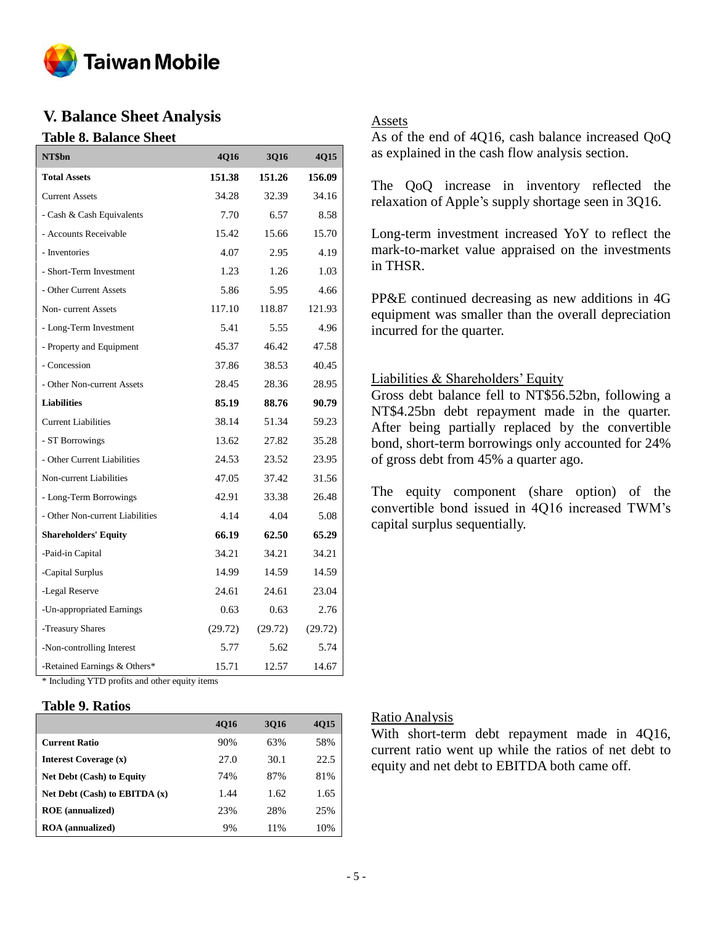

## **V. Balance Sheet Analysis**

#### **Table 8. Balance Sheet**

| NT\$bn                                         | 4Q16    | 3Q16    | 4Q15    |  |  |  |
|------------------------------------------------|---------|---------|---------|--|--|--|
| <b>Total Assets</b>                            | 151.38  | 151.26  | 156.09  |  |  |  |
| <b>Current Assets</b>                          | 34.28   | 32.39   | 34.16   |  |  |  |
| - Cash & Cash Equivalents                      | 7.70    | 6.57    | 8.58    |  |  |  |
| - Accounts Receivable                          | 15.42   | 15.66   | 15.70   |  |  |  |
| - Inventories                                  | 4.07    | 2.95    | 4.19    |  |  |  |
| - Short-Term Investment                        | 1.23    | 1.26    | 1.03    |  |  |  |
| - Other Current Assets                         | 5.86    | 5.95    | 4.66    |  |  |  |
| Non-current Assets                             | 117.10  | 118.87  | 121.93  |  |  |  |
| - Long-Term Investment                         | 5.41    | 5.55    | 4.96    |  |  |  |
| - Property and Equipment                       | 45.37   | 46.42   | 47.58   |  |  |  |
| - Concession                                   | 37.86   | 38.53   | 40.45   |  |  |  |
| - Other Non-current Assets                     | 28.45   | 28.36   | 28.95   |  |  |  |
| <b>Liabilities</b>                             | 85.19   | 88.76   | 90.79   |  |  |  |
| <b>Current Liabilities</b>                     | 38.14   | 51.34   | 59.23   |  |  |  |
| - ST Borrowings                                | 13.62   | 27.82   | 35.28   |  |  |  |
| - Other Current Liabilities                    | 24.53   | 23.52   | 23.95   |  |  |  |
| Non-current Liabilities                        | 47.05   | 37.42   | 31.56   |  |  |  |
| - Long-Term Borrowings                         | 42.91   | 33.38   | 26.48   |  |  |  |
| - Other Non-current Liabilities                | 4.14    | 4.04    | 5.08    |  |  |  |
| <b>Shareholders' Equity</b>                    | 66.19   | 62.50   | 65.29   |  |  |  |
| -Paid-in Capital                               | 34.21   | 34.21   | 34.21   |  |  |  |
| -Capital Surplus                               | 14.99   | 14.59   | 14.59   |  |  |  |
| -Legal Reserve                                 | 24.61   | 24.61   | 23.04   |  |  |  |
| -Un-appropriated Earnings                      | 0.63    | 0.63    | 2.76    |  |  |  |
| -Treasury Shares                               | (29.72) | (29.72) | (29.72) |  |  |  |
| -Non-controlling Interest                      | 5.77    | 5.62    | 5.74    |  |  |  |
| -Retained Earnings & Others*                   | 15.71   | 12.57   | 14.67   |  |  |  |
| * Including YTD profits and other equity items |         |         |         |  |  |  |

#### **Table 9. Ratios**

|                                   | <b>4016</b> | 3016 | <b>4015</b> |
|-----------------------------------|-------------|------|-------------|
| <b>Current Ratio</b>              | 90%         | 63%  | 58%         |
| Interest Coverage (x)             | 27.0        | 30.1 | 22.5        |
| <b>Net Debt (Cash) to Equity</b>  | 74%         | 87%  | 81%         |
| Net Debt $(Cash)$ to EBITDA $(x)$ | 1.44        | 1.62 | 1.65        |
| <b>ROE</b> (annualized)           | 23%         | 28%  | 25%         |
| <b>ROA</b> (annualized)           | 9%          | 11%  | 10%         |

#### Assets

As of the end of 4Q16, cash balance increased QoQ as explained in the cash flow analysis section.

The QoQ increase in inventory reflected the relaxation of Apple's supply shortage seen in 3Q16.

Long-term investment increased YoY to reflect the mark-to-market value appraised on the investments in THSR.

PP&E continued decreasing as new additions in 4G equipment was smaller than the overall depreciation incurred for the quarter.

#### Liabilities & Shareholders' Equity

Gross debt balance fell to NT\$56.52bn, following a NT\$4.25bn debt repayment made in the quarter. After being partially replaced by the convertible bond, short-term borrowings only accounted for 24% of gross debt from 45% a quarter ago.

The equity component (share option) of the convertible bond issued in 4Q16 increased TWM's capital surplus sequentially.

#### Ratio Analysis

With short-term debt repayment made in 4Q16, current ratio went up while the ratios of net debt to equity and net debt to EBITDA both came off.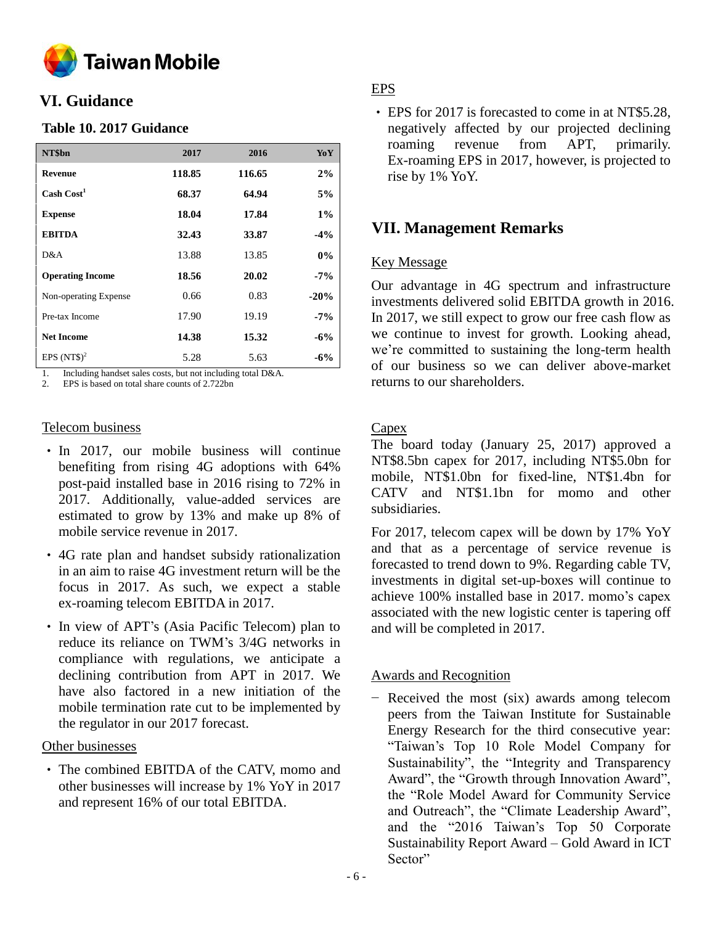

## **VI. Guidance**

#### **Table 10. 2017 Guidance**

| NT\$bn                  | 2017   | 2016   | YoY    |
|-------------------------|--------|--------|--------|
| <b>Revenue</b>          | 118.85 | 116.65 | 2%     |
| Cash Cost <sup>1</sup>  | 68.37  | 64.94  | 5%     |
| <b>Expense</b>          | 18.04  | 17.84  | $1\%$  |
| <b>EBITDA</b>           | 32.43  | 33.87  | $-4\%$ |
| D&A                     | 13.88  | 13.85  | $0\%$  |
| <b>Operating Income</b> | 18.56  | 20.02  | $-7\%$ |
| Non-operating Expense   | 0.66   | 0.83   | $-20%$ |
| Pre-tax Income          | 17.90  | 19.19  | $-7\%$ |
| <b>Net Income</b>       | 14.38  | 15.32  | $-6\%$ |
| EPS $(NT$)^2$           | 5.28   | 5.63   | $-6\%$ |

1. Including handset sales costs, but not including total D&A.

2. EPS is based on total share counts of 2.722bn

#### Telecom business

- In 2017, our mobile business will continue benefiting from rising 4G adoptions with 64% post-paid installed base in 2016 rising to 72% in 2017. Additionally, value-added services are estimated to grow by 13% and make up 8% of mobile service revenue in 2017.
- 4G rate plan and handset subsidy rationalization in an aim to raise 4G investment return will be the focus in 2017. As such, we expect a stable ex-roaming telecom EBITDA in 2017.
- In view of APT's (Asia Pacific Telecom) plan to reduce its reliance on TWM's 3/4G networks in compliance with regulations, we anticipate a declining contribution from APT in 2017. We have also factored in a new initiation of the mobile termination rate cut to be implemented by the regulator in our 2017 forecast.

#### Other businesses

• The combined EBITDA of the CATV, momo and other businesses will increase by 1% YoY in 2017 and represent 16% of our total EBITDA.

### EPS

• EPS for 2017 is forecasted to come in at NT\$5.28. negatively affected by our projected declining roaming revenue from APT, primarily. Ex-roaming EPS in 2017, however, is projected to rise by 1% YoY.

## **VII. Management Remarks**

#### Key Message

Our advantage in 4G spectrum and infrastructure investments delivered solid EBITDA growth in 2016. In 2017, we still expect to grow our free cash flow as we continue to invest for growth. Looking ahead, we're committed to sustaining the long-term health of our business so we can deliver above-market returns to our shareholders.

#### **Capex**

The board today (January 25, 2017) approved a NT\$8.5bn capex for 2017, including NT\$5.0bn for mobile, NT\$1.0bn for fixed-line, NT\$1.4bn for CATV and NT\$1.1bn for momo and other subsidiaries.

For 2017, telecom capex will be down by 17% YoY and that as a percentage of service revenue is forecasted to trend down to 9%. Regarding cable TV, investments in digital set-up-boxes will continue to achieve 100% installed base in 2017. momo's capex associated with the new logistic center is tapering off and will be completed in 2017.

#### Awards and Recognition

− Received the most (six) awards among telecom peers from the Taiwan Institute for Sustainable Energy Research for the third consecutive year: "Taiwan's Top 10 Role Model Company for Sustainability", the "Integrity and Transparency Award", the "Growth through Innovation Award", the "Role Model Award for Community Service and Outreach", the "Climate Leadership Award", and the "2016 Taiwan's Top 50 Corporate Sustainability Report Award – Gold Award in ICT Sector"